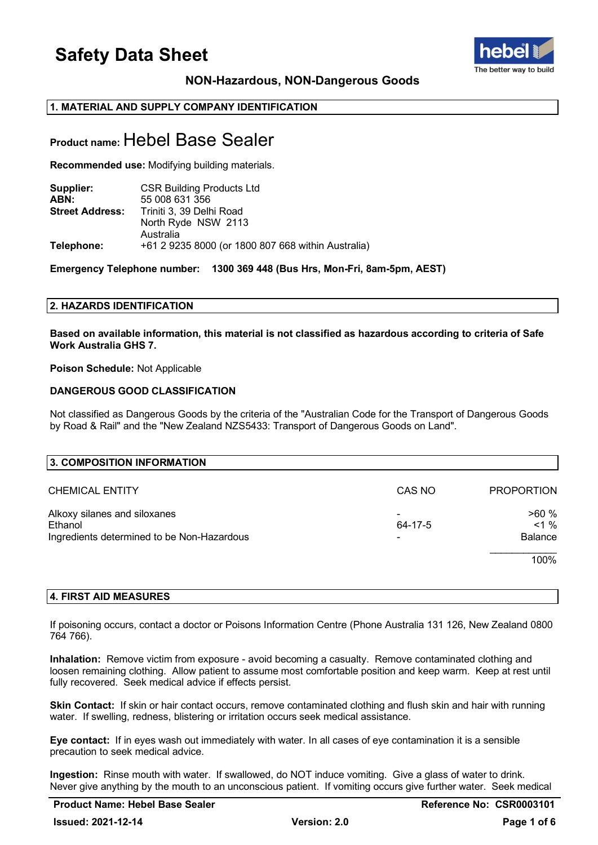

## **NON-Hazardous, NON-Dangerous Goods**

## **1. MATERIAL AND SUPPLY COMPANY IDENTIFICATION**

## **Product name:** Hebel Base Sealer

**Recommended use:** Modifying building materials.

| Supplier:              | <b>CSR Building Products Ltd</b>                   |
|------------------------|----------------------------------------------------|
| ABN:                   | 55 008 631 356                                     |
| <b>Street Address:</b> | Triniti 3, 39 Delhi Road                           |
|                        | North Ryde NSW 2113                                |
|                        | Australia                                          |
| Telephone:             | +61 2 9235 8000 (or 1800 807 668 within Australia) |

**Emergency Telephone number: 1300 369 448 (Bus Hrs, Mon-Fri, 8am-5pm, AEST)**

## **2. HAZARDS IDENTIFICATION**

**Based on available information, this material is not classified as hazardous according to criteria of Safe Work Australia GHS 7.**

## **Poison Schedule:** Not Applicable

## **DANGEROUS GOOD CLASSIFICATION**

Not classified as Dangerous Goods by the criteria of the "Australian Code for the Transport of Dangerous Goods by Road & Rail" and the "New Zealand NZS5433: Transport of Dangerous Goods on Land".

| 3. COMPOSITION INFORMATION                 |         |                   |
|--------------------------------------------|---------|-------------------|
| <b>CHEMICAL ENTITY</b>                     | CAS NO  | <b>PROPORTION</b> |
| Alkoxy silanes and siloxanes               |         | >60%              |
| Ethanol                                    | 64-17-5 | $< 1 \%$          |
| Ingredients determined to be Non-Hazardous |         | Balance           |
|                                            |         | 100%              |

## **4. FIRST AID MEASURES**

If poisoning occurs, contact a doctor or Poisons Information Centre (Phone Australia 131 126, New Zealand 0800 764 766).

**Inhalation:** Remove victim from exposure - avoid becoming a casualty. Remove contaminated clothing and loosen remaining clothing. Allow patient to assume most comfortable position and keep warm. Keep at rest until fully recovered. Seek medical advice if effects persist.

**Skin Contact:** If skin or hair contact occurs, remove contaminated clothing and flush skin and hair with running water. If swelling, redness, blistering or irritation occurs seek medical assistance.

**Eye contact:** If in eyes wash out immediately with water. In all cases of eye contamination it is a sensible precaution to seek medical advice.

**Ingestion:** Rinse mouth with water. If swallowed, do NOT induce vomiting. Give a glass of water to drink. Never give anything by the mouth to an unconscious patient. If vomiting occurs give further water. Seek medical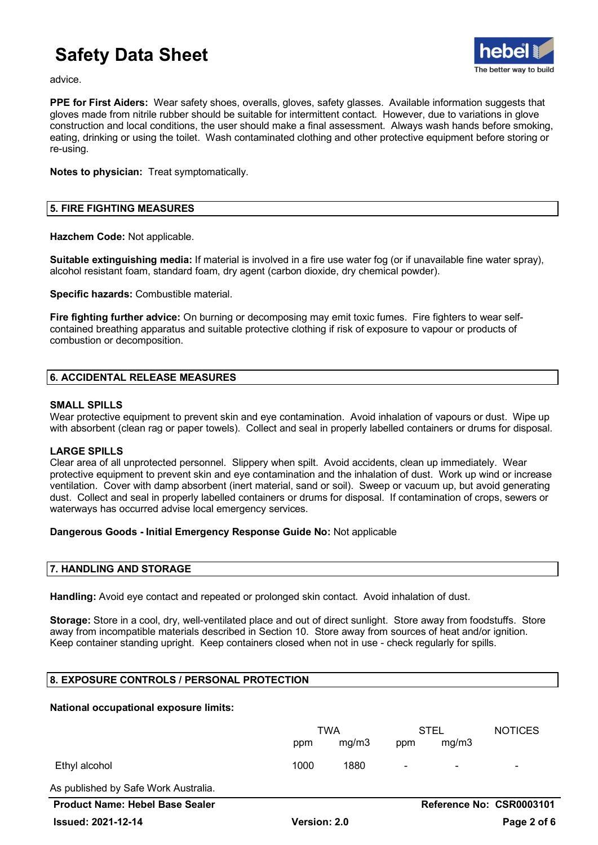

advice.

**PPE for First Aiders:** Wear safety shoes, overalls, gloves, safety glasses. Available information suggests that gloves made from nitrile rubber should be suitable for intermittent contact. However, due to variations in glove construction and local conditions, the user should make a final assessment. Always wash hands before smoking, eating, drinking or using the toilet. Wash contaminated clothing and other protective equipment before storing or re-using.

**Notes to physician:** Treat symptomatically.

## **5. FIRE FIGHTING MEASURES**

**Hazchem Code:** Not applicable.

**Suitable extinguishing media:** If material is involved in a fire use water fog (or if unavailable fine water spray), alcohol resistant foam, standard foam, dry agent (carbon dioxide, dry chemical powder).

**Specific hazards:** Combustible material.

**Fire fighting further advice:** On burning or decomposing may emit toxic fumes. Fire fighters to wear selfcontained breathing apparatus and suitable protective clothing if risk of exposure to vapour or products of combustion or decomposition.

## **6. ACCIDENTAL RELEASE MEASURES**

## **SMALL SPILLS**

Wear protective equipment to prevent skin and eye contamination. Avoid inhalation of vapours or dust. Wipe up with absorbent (clean rag or paper towels). Collect and seal in properly labelled containers or drums for disposal.

## **LARGE SPILLS**

Clear area of all unprotected personnel. Slippery when spilt. Avoid accidents, clean up immediately. Wear protective equipment to prevent skin and eye contamination and the inhalation of dust. Work up wind or increase ventilation. Cover with damp absorbent (inert material, sand or soil). Sweep or vacuum up, but avoid generating dust. Collect and seal in properly labelled containers or drums for disposal. If contamination of crops, sewers or waterways has occurred advise local emergency services.

## **Dangerous Goods - Initial Emergency Response Guide No:** Not applicable

## **7. HANDLING AND STORAGE**

**Handling:** Avoid eye contact and repeated or prolonged skin contact. Avoid inhalation of dust.

**Storage:** Store in a cool, dry, well-ventilated place and out of direct sunlight. Store away from foodstuffs. Store away from incompatible materials described in Section 10. Store away from sources of heat and/or ignition. Keep container standing upright. Keep containers closed when not in use - check regularly for spills.

## **8. EXPOSURE CONTROLS / PERSONAL PROTECTION**

## **National occupational exposure limits:**

|                                        | TWA          |       | <b>STEL</b>    |                | <b>NOTICES</b>           |  |
|----------------------------------------|--------------|-------|----------------|----------------|--------------------------|--|
|                                        | ppm          | mg/m3 | ppm            | mg/m3          |                          |  |
| Ethyl alcohol                          | 1000         | 1880  | $\blacksquare$ | $\blacksquare$ |                          |  |
| As published by Safe Work Australia.   |              |       |                |                |                          |  |
| <b>Product Name: Hebel Base Sealer</b> |              |       |                |                | Reference No: CSR0003101 |  |
| <b>Issued: 2021-12-14</b>              | Version: 2.0 |       |                |                | Page 2 of 6              |  |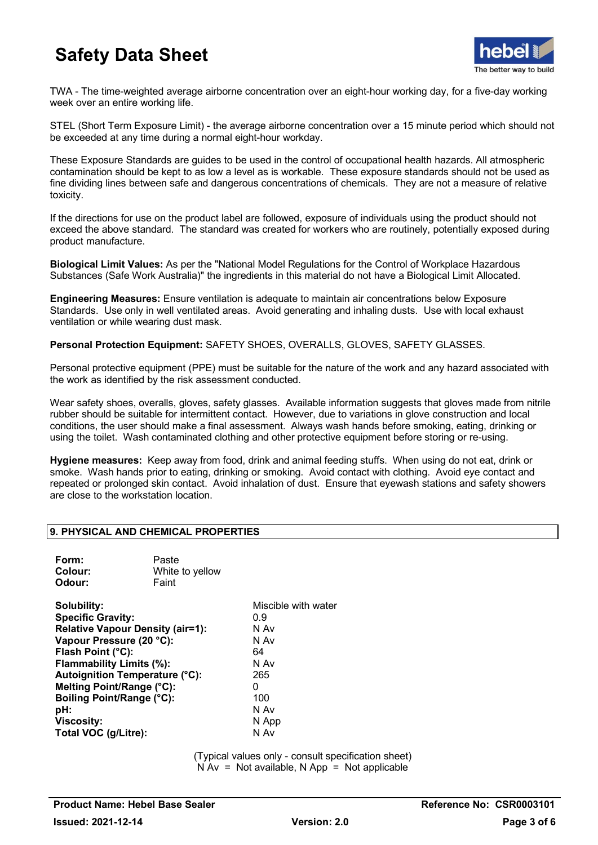

TWA - The time-weighted average airborne concentration over an eight-hour working day, for a five-day working week over an entire working life.

STEL (Short Term Exposure Limit) - the average airborne concentration over a 15 minute period which should not be exceeded at any time during a normal eight-hour workday.

These Exposure Standards are guides to be used in the control of occupational health hazards. All atmospheric contamination should be kept to as low a level as is workable. These exposure standards should not be used as fine dividing lines between safe and dangerous concentrations of chemicals. They are not a measure of relative toxicity.

If the directions for use on the product label are followed, exposure of individuals using the product should not exceed the above standard. The standard was created for workers who are routinely, potentially exposed during product manufacture.

**Biological Limit Values:** As per the "National Model Regulations for the Control of Workplace Hazardous Substances (Safe Work Australia)" the ingredients in this material do not have a Biological Limit Allocated.

**Engineering Measures:** Ensure ventilation is adequate to maintain air concentrations below Exposure Standards. Use only in well ventilated areas. Avoid generating and inhaling dusts. Use with local exhaust ventilation or while wearing dust mask.

**Personal Protection Equipment:** SAFETY SHOES, OVERALLS, GLOVES, SAFETY GLASSES.

Personal protective equipment (PPE) must be suitable for the nature of the work and any hazard associated with the work as identified by the risk assessment conducted.

Wear safety shoes, overalls, gloves, safety glasses. Available information suggests that gloves made from nitrile rubber should be suitable for intermittent contact. However, due to variations in glove construction and local conditions, the user should make a final assessment. Always wash hands before smoking, eating, drinking or using the toilet. Wash contaminated clothing and other protective equipment before storing or re-using.

**Hygiene measures:** Keep away from food, drink and animal feeding stuffs. When using do not eat, drink or smoke. Wash hands prior to eating, drinking or smoking. Avoid contact with clothing. Avoid eye contact and repeated or prolonged skin contact. Avoid inhalation of dust. Ensure that eyewash stations and safety showers are close to the workstation location.

## **9. PHYSICAL AND CHEMICAL PROPERTIES**

| Form:<br>Colour:<br>Odour:                                                                                                                                                                                                                                                                                             | Paste<br>White to yellow<br>Faint |                                                                                                      |
|------------------------------------------------------------------------------------------------------------------------------------------------------------------------------------------------------------------------------------------------------------------------------------------------------------------------|-----------------------------------|------------------------------------------------------------------------------------------------------|
| Solubility:<br><b>Specific Gravity:</b><br><b>Relative Vapour Density (air=1):</b><br>Vapour Pressure (20 °C):<br>Flash Point (°C):<br>Flammability Limits (%):<br><b>Autoignition Temperature (°C):</b><br>Melting Point/Range (°C):<br>Boiling Point/Range (°C):<br>pH:<br><b>Viscosity:</b><br>Total VOC (g/Litre): |                                   | Miscible with water<br>0.9<br>N Av<br>N Av<br>64<br>N Av<br>265<br>0<br>100<br>N Av<br>N App<br>N Av |

(Typical values only - consult specification sheet)  $N Av = Not available, N App = Not applicable$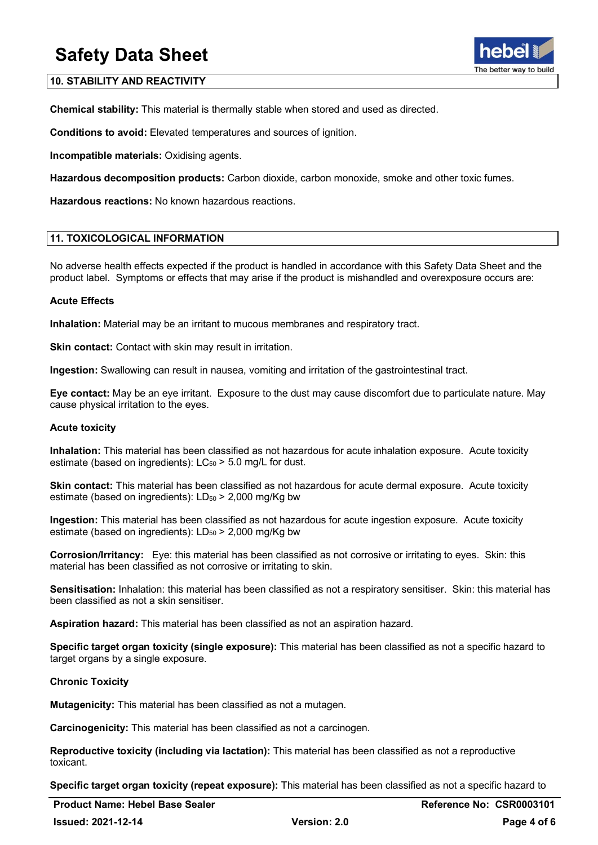## **10. STABILITY AND REACTIVITY**

**Chemical stability:** This material is thermally stable when stored and used as directed.

**Conditions to avoid:** Elevated temperatures and sources of ignition.

**Incompatible materials:** Oxidising agents.

**Hazardous decomposition products:** Carbon dioxide, carbon monoxide, smoke and other toxic fumes.

**Hazardous reactions:** No known hazardous reactions.

## **11. TOXICOLOGICAL INFORMATION**

No adverse health effects expected if the product is handled in accordance with this Safety Data Sheet and the product label. Symptoms or effects that may arise if the product is mishandled and overexposure occurs are:

## **Acute Effects**

**Inhalation:** Material may be an irritant to mucous membranes and respiratory tract.

**Skin contact:** Contact with skin may result in irritation.

**Ingestion:** Swallowing can result in nausea, vomiting and irritation of the gastrointestinal tract.

**Eye contact:** May be an eye irritant. Exposure to the dust may cause discomfort due to particulate nature. May cause physical irritation to the eyes.

## **Acute toxicity**

**Inhalation:** This material has been classified as not hazardous for acute inhalation exposure. Acute toxicity estimate (based on ingredients):  $LC_{50}$  > 5.0 mg/L for dust.

**Skin contact:** This material has been classified as not hazardous for acute dermal exposure. Acute toxicity estimate (based on ingredients):  $LD_{50}$  > 2,000 mg/Kg bw

**Ingestion:** This material has been classified as not hazardous for acute ingestion exposure. Acute toxicity estimate (based on ingredients):  $LD_{50}$  > 2,000 mg/Kg bw

**Corrosion/Irritancy:** Eye: this material has been classified as not corrosive or irritating to eyes. Skin: this material has been classified as not corrosive or irritating to skin.

**Sensitisation:** Inhalation: this material has been classified as not a respiratory sensitiser. Skin: this material has been classified as not a skin sensitiser.

**Aspiration hazard:** This material has been classified as not an aspiration hazard.

**Specific target organ toxicity (single exposure):** This material has been classified as not a specific hazard to target organs by a single exposure.

## **Chronic Toxicity**

**Mutagenicity:** This material has been classified as not a mutagen.

**Carcinogenicity:** This material has been classified as not a carcinogen.

**Reproductive toxicity (including via lactation):** This material has been classified as not a reproductive toxicant.

**Specific target organ toxicity (repeat exposure):** This material has been classified as not a specific hazard to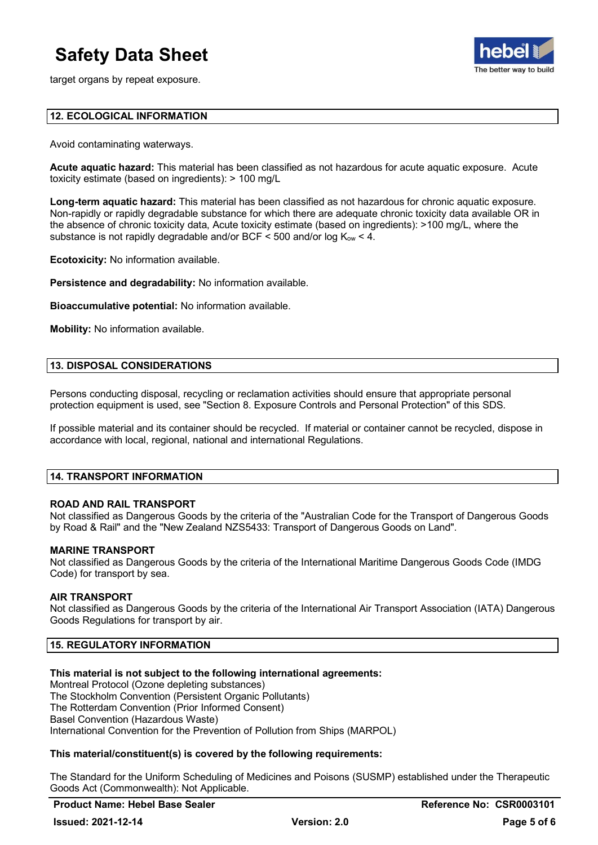target organs by repeat exposure.



## **12. ECOLOGICAL INFORMATION**

Avoid contaminating waterways.

**Acute aquatic hazard:** This material has been classified as not hazardous for acute aquatic exposure. Acute toxicity estimate (based on ingredients): > 100 mg/L

**Long-term aquatic hazard:** This material has been classified as not hazardous for chronic aquatic exposure. Non-rapidly or rapidly degradable substance for which there are adequate chronic toxicity data available OR in the absence of chronic toxicity data, Acute toxicity estimate (based on ingredients): >100 mg/L, where the substance is not rapidly degradable and/or BCF  $\leq$  500 and/or log K<sub>ow</sub>  $\lt$  4.

**Ecotoxicity:** No information available.

**Persistence and degradability:** No information available.

**Bioaccumulative potential:** No information available.

**Mobility:** No information available.

## **13. DISPOSAL CONSIDERATIONS**

Persons conducting disposal, recycling or reclamation activities should ensure that appropriate personal protection equipment is used, see "Section 8. Exposure Controls and Personal Protection" of this SDS.

If possible material and its container should be recycled. If material or container cannot be recycled, dispose in accordance with local, regional, national and international Regulations.

## **14. TRANSPORT INFORMATION**

## **ROAD AND RAIL TRANSPORT**

Not classified as Dangerous Goods by the criteria of the "Australian Code for the Transport of Dangerous Goods by Road & Rail" and the "New Zealand NZS5433: Transport of Dangerous Goods on Land".

#### **MARINE TRANSPORT**

Not classified as Dangerous Goods by the criteria of the International Maritime Dangerous Goods Code (IMDG Code) for transport by sea.

#### **AIR TRANSPORT**

Not classified as Dangerous Goods by the criteria of the International Air Transport Association (IATA) Dangerous Goods Regulations for transport by air.

## **15. REGULATORY INFORMATION**

## **This material is not subject to the following international agreements:**

Montreal Protocol (Ozone depleting substances) The Stockholm Convention (Persistent Organic Pollutants) The Rotterdam Convention (Prior Informed Consent) Basel Convention (Hazardous Waste) International Convention for the Prevention of Pollution from Ships (MARPOL)

## **This material/constituent(s) is covered by the following requirements:**

The Standard for the Uniform Scheduling of Medicines and Poisons (SUSMP) established under the Therapeutic Goods Act (Commonwealth): Not Applicable.